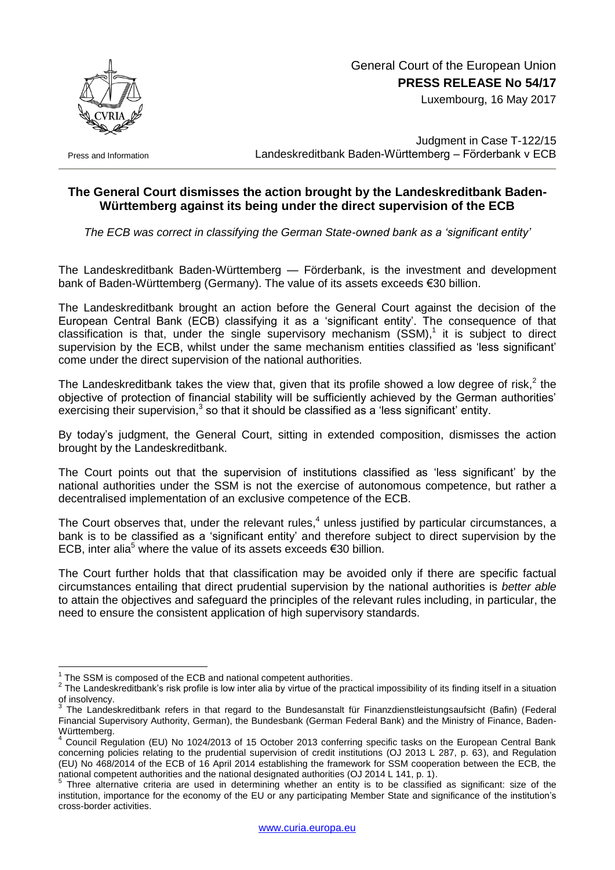

 General Court of the European Union **PRESS RELEASE No 54/17**

Luxembourg, 16 May 2017

Press and Information

Judgment in Case T-122/15 Landeskreditbank Baden-Württemberg - Förderbank v ECB

## **The General Court dismisses the action brought by the Landeskreditbank Baden-Württemberg against its being under the direct supervision of the ECB**

*The ECB was correct in classifying the German State-owned bank as a 'significant entity'*

The Landeskreditbank Baden-Württemberg — Förderbank, is the investment and development bank of Baden-Württemberg (Germany). The value of its assets exceeds €30 billion.

The Landeskreditbank brought an action before the General Court against the decision of the European Central Bank (ECB) classifying it as a 'significant entity'. The consequence of that classification is that, under the single supervisory mechanism  $(SSM)^{1}$  it is subject to direct supervision by the ECB, whilst under the same mechanism entities classified as 'less significant' come under the direct supervision of the national authorities.

The Landeskreditbank takes the view that, given that its profile showed a low degree of risk,<sup>2</sup> the objective of protection of financial stability will be sufficiently achieved by the German authorities' exercising their supervision, $3$  so that it should be classified as a 'less significant' entity.

By today's judgment, the General Court, sitting in extended composition, dismisses the action brought by the Landeskreditbank.

The Court points out that the supervision of institutions classified as 'less significant' by the national authorities under the SSM is not the exercise of autonomous competence, but rather a decentralised implementation of an exclusive competence of the ECB.

The Court observes that, under the relevant rules,<sup>4</sup> unless justified by particular circumstances, a bank is to be classified as a 'significant entity' and therefore subject to direct supervision by the ECB, inter alia<sup>5</sup> where the value of its assets exceeds €30 billion.

The Court further holds that that classification may be avoided only if there are specific factual circumstances entailing that direct prudential supervision by the national authorities is *better able* to attain the objectives and safeguard the principles of the relevant rules including, in particular, the need to ensure the consistent application of high supervisory standards.

1

 $1$  The SSM is composed of the ECB and national competent authorities.

 $2$  The Landeskreditbank's risk profile is low inter alia by virtue of the practical impossibility of its finding itself in a situation of insolvency.

<sup>3</sup> The Landeskreditbank refers in that regard to the Bundesanstalt für Finanzdienstleistungsaufsicht (Bafin) (Federal Financial Supervisory Authority, German), the Bundesbank (German Federal Bank) and the Ministry of Finance, Baden-Württemberg.

<sup>4</sup> Council Regulation (EU) No 1024/2013 of 15 October 2013 conferring specific tasks on the European Central Bank concerning policies relating to the prudential supervision of credit institutions (OJ 2013 L 287, p. 63), and Regulation (EU) No 468/2014 of the ECB of 16 April 2014 establishing the framework for SSM cooperation between the ECB, the national competent authorities and the national designated authorities (OJ 2014 L 141, p. 1).<br><sup>5</sup> Three elternative exitaria are used in determining urbather an entity is to be eleccific

Three alternative criteria are used in determining whether an entity is to be classified as significant: size of the institution, importance for the economy of the EU or any participating Member State and significance of the institution's cross-border activities.